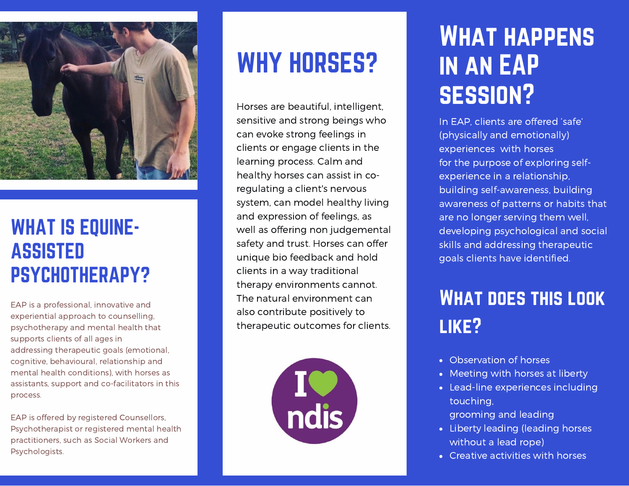

### WHAT IS EQUINE-ASSISTED PSYCHOTHERAPY?

EAP is a professional, innovative and experiential approach to counselling, psychotherapy and mental health that supports clients of all ages in addressing therapeutic goals (emotional, cognitive, behavioural, relationship and mental health conditions), with horses as assistants, support and co-facilitators in this process.

EAP is offered by registered Counsellors, Psychotherapist or registered mental health practitioners, such as Social Workers and Psychologists.

# WHY HORSES?

Horses are beautiful, intelligent, sensitive and strong beings who can evoke strong feelings in clients or engage clients in the learning process. Calm and healthy horses can assist in coregulating a client's nervous system, can model healthy living and expression of feelings, as well as offering non judgemental safety and trust. Horses can offer unique bio feedback and hold clients in a way traditional therapy environments cannot. The natural environment can also contribute positively to therapeutic outcomes for clients.



# WHAT HAPPENS in an EAP session?

In EAP, clients are offered 'safe' (physically and emotionally) experiences with horses for the purpose of exploring selfexperience in a relationship, building self-awareness, building awareness of patterns or habits that are no longer serving them well, developing psychological and social skills and addressing therapeutic goals clients have identified.

## What does this look like?

- Observation of horses
- Meeting with horses at liberty
- Lead-line experiences including touching,
	- grooming and leading
- Liberty leading (leading horses without a lead rope)
- Creative activities with horses